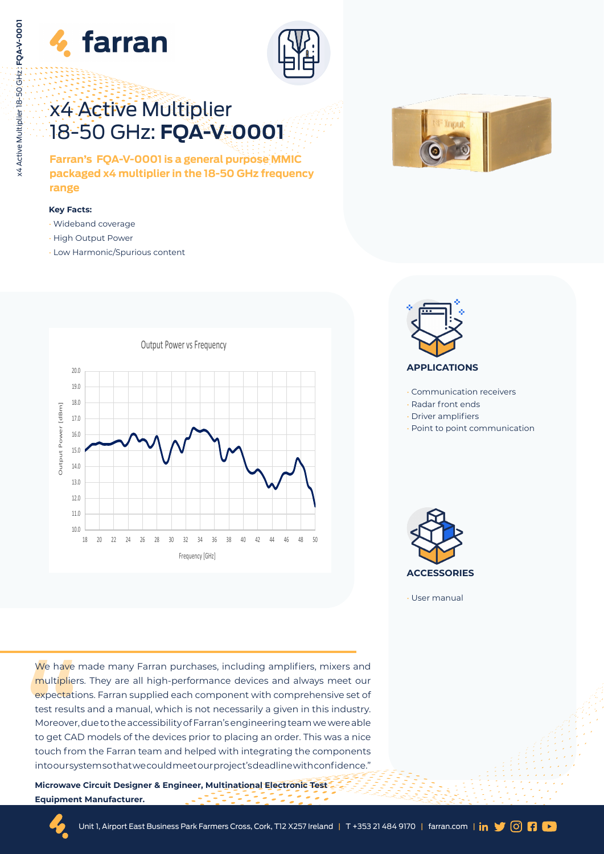



# x4 Active Multiplier 18-50 GHz: **FQA-V-0001**

**Farran's FQA-V-0001 is a general purpose MMIC packaged x4 multiplier in the 18-50 GHz frequency range** 

#### **Key Facts:**

- Wideband coverage
- High Output Power
- Low Harmonic/Spurious content







- Communication receivers
- Radar front ends
- Driver amplifiers
- Point to point communication



• User manual

We have<br>
multiplier<br>
expectation<br>
test result<br>
Moreover,<br>
to get CAI<br>
touch from intooursy We have made many Farran purchases, including amplifiers, mixers and multipliers. They are all high-performance devices and always meet our expectations. Farran supplied each component with comprehensive set of test results and a manual, which is not necessarily a given in this industry. Moreover, due to the accessibility of Farran's engineering team we were able to get CAD models of the devices prior to placing an order. This was a nice touch from the Farran team and helped with integrating the components into our system so that we could meet our project's deadline with confidence."

**Microwave Circuit Designer & Engineer, Multinational Electronic Test Equipment Manufacturer.**